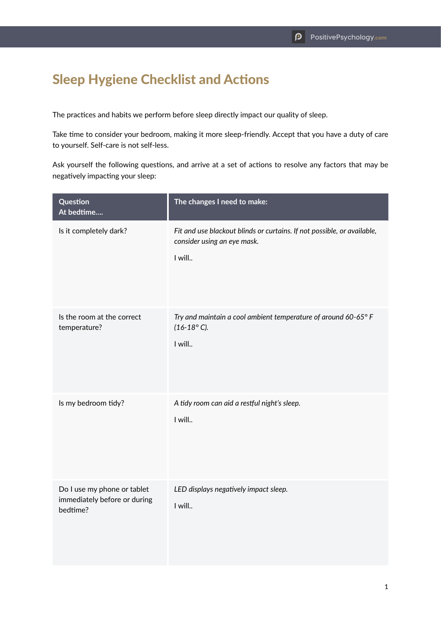## Sleep Hygiene Checklist and Actions

The practices and habits we perform before sleep directly impact our quality of sleep.

Take time to consider your bedroom, making it more sleep-friendly. Accept that you have a duty of care to yourself. Self-care is not self-less.

Ask yourself the following questions, and arrive at a set of actions to resolve any factors that may be negatively impacting your sleep:

| Question<br>At bedtime                                                  | The changes I need to make:                                                                                      |
|-------------------------------------------------------------------------|------------------------------------------------------------------------------------------------------------------|
| Is it completely dark?                                                  | Fit and use blackout blinds or curtains. If not possible, or available,<br>consider using an eye mask.<br>I will |
| Is the room at the correct<br>temperature?                              | Try and maintain a cool ambient temperature of around 60-65° F<br>$(16-18°)$ C).<br>I will                       |
| Is my bedroom tidy?                                                     | A tidy room can aid a restful night's sleep.<br>I will                                                           |
| Do I use my phone or tablet<br>immediately before or during<br>bedtime? | LED displays negatively impact sleep.<br>I will                                                                  |